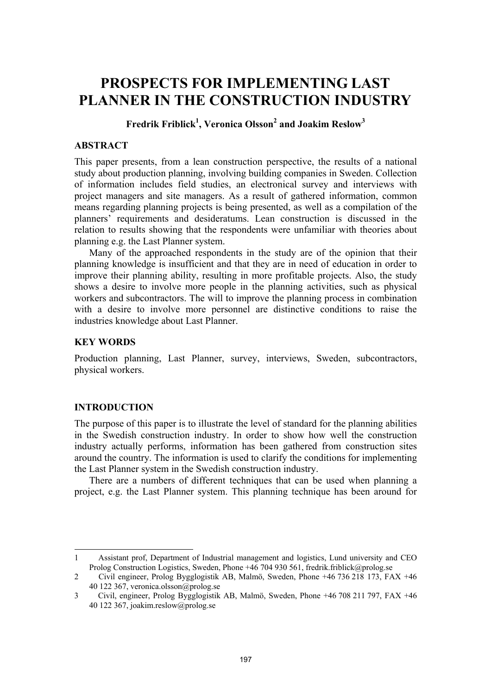# **PROSPECTS FOR IMPLEMENTING LAST PLANNER IN THE CONSTRUCTION INDUSTRY**

**Fredrik Friblick1 , Veronica Olsson2 and Joakim Reslow3**

# **ABSTRACT**

This paper presents, from a lean construction perspective, the results of a national study about production planning, involving building companies in Sweden. Collection of information includes field studies, an electronical survey and interviews with project managers and site managers. As a result of gathered information, common means regarding planning projects is being presented, as well as a compilation of the planners' requirements and desideratums. Lean construction is discussed in the relation to results showing that the respondents were unfamiliar with theories about planning e.g. the Last Planner system.

Many of the approached respondents in the study are of the opinion that their planning knowledge is insufficient and that they are in need of education in order to improve their planning ability, resulting in more profitable projects. Also, the study shows a desire to involve more people in the planning activities, such as physical workers and subcontractors. The will to improve the planning process in combination with a desire to involve more personnel are distinctive conditions to raise the industries knowledge about Last Planner.

## **KEY WORDS**

Production planning, Last Planner, survey, interviews, Sweden, subcontractors, physical workers.

#### **INTRODUCTION**

l

The purpose of this paper is to illustrate the level of standard for the planning abilities in the Swedish construction industry. In order to show how well the construction industry actually performs, information has been gathered from construction sites around the country. The information is used to clarify the conditions for implementing the Last Planner system in the Swedish construction industry.

There are a numbers of different techniques that can be used when planning a project, e.g. the Last Planner system. This planning technique has been around for

<sup>1</sup> Assistant prof, Department of Industrial management and logistics, Lund university and CEO Prolog Construction Logistics, Sweden, Phone +46 704 930 561, fredrik.friblick@prolog.se

<sup>2</sup> Civil engineer, Prolog Bygglogistik AB, Malmö, Sweden, Phone +46 736 218 173, FAX +46 40 122 367, veronica.olsson@prolog.se

<sup>3</sup> Civil, engineer, Prolog Bygglogistik AB, Malmö, Sweden, Phone +46 708 211 797, FAX +46 40 122 367, joakim.reslow@prolog.se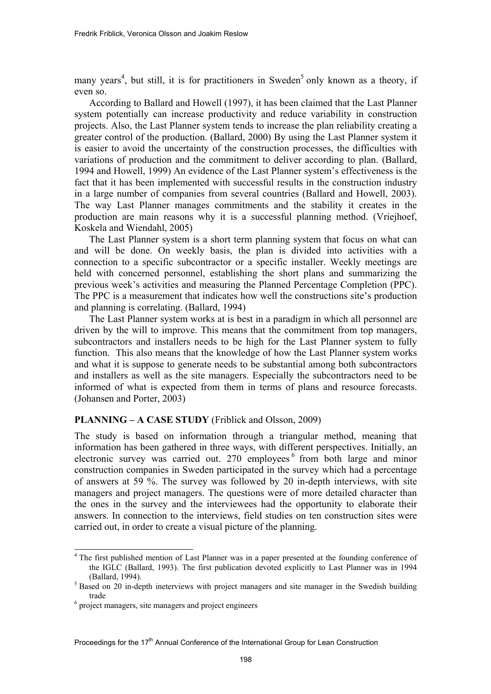many years<sup>4</sup>, but still, it is for practitioners in Sweden<sup>5</sup> only known as a theory, if even so.

According to Ballard and Howell (1997), it has been claimed that the Last Planner system potentially can increase productivity and reduce variability in construction projects. Also, the Last Planner system tends to increase the plan reliability creating a greater control of the production. (Ballard, 2000) By using the Last Planner system it is easier to avoid the uncertainty of the construction processes, the difficulties with variations of production and the commitment to deliver according to plan. (Ballard, 1994 and Howell, 1999) An evidence of the Last Planner system's effectiveness is the fact that it has been implemented with successful results in the construction industry in a large number of companies from several countries (Ballard and Howell, 2003). The way Last Planner manages commitments and the stability it creates in the production are main reasons why it is a successful planning method. (Vriejhoef, Koskela and Wiendahl, 2005)

The Last Planner system is a short term planning system that focus on what can and will be done. On weekly basis, the plan is divided into activities with a connection to a specific subcontractor or a specific installer. Weekly meetings are held with concerned personnel, establishing the short plans and summarizing the previous week's activities and measuring the Planned Percentage Completion (PPC). The PPC is a measurement that indicates how well the constructions site's production and planning is correlating. (Ballard, 1994)

The Last Planner system works at is best in a paradigm in which all personnel are driven by the will to improve. This means that the commitment from top managers, subcontractors and installers needs to be high for the Last Planner system to fully function. This also means that the knowledge of how the Last Planner system works and what it is suppose to generate needs to be substantial among both subcontractors and installers as well as the site managers. Especially the subcontractors need to be informed of what is expected from them in terms of plans and resource forecasts. (Johansen and Porter, 2003)

# **PLANNING – A CASE STUDY** (Friblick and Olsson, 2009)

The study is based on information through a triangular method, meaning that information has been gathered in three ways, with different perspectives. Initially, an electronic survey was carried out. 270 employees <sup>6</sup> from both large and minor construction companies in Sweden participated in the survey which had a percentage of answers at 59 %. The survey was followed by 20 in-depth interviews, with site managers and project managers. The questions were of more detailed character than the ones in the survey and the interviewees had the opportunity to elaborate their answers. In connection to the interviews, field studies on ten construction sites were carried out, in order to create a visual picture of the planning.

<sup>&</sup>lt;sup>4</sup> The first published mention of Last Planner was in a paper presented at the founding conference of the IGLC (Ballard, 1993). The first publication devoted explicitly to Last Planner was in 1994 (Ballard, 1994).

 $5$  Based on 20 in-depth ineterviews with project managers and site manager in the Swedish building trade<br><sup>6</sup> project managers, site managers and project engineers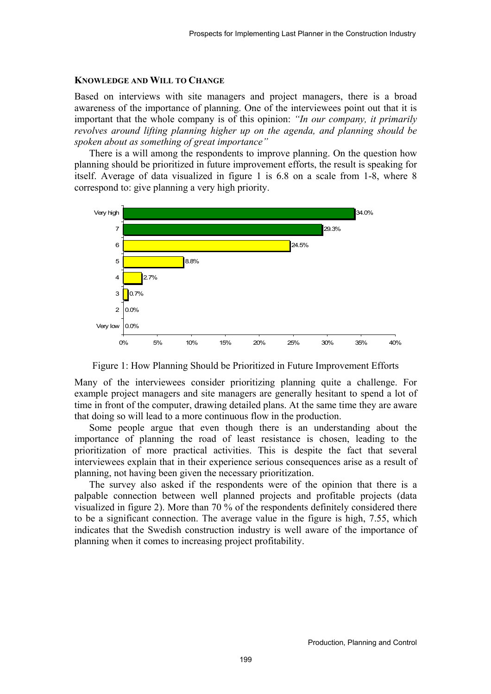#### **KNOWLEDGE AND WILL TO CHANGE**

Based on interviews with site managers and project managers, there is a broad awareness of the importance of planning. One of the interviewees point out that it is important that the whole company is of this opinion: *"In our company, it primarily revolves around lifting planning higher up on the agenda, and planning should be spoken about as something of great importance"*

There is a will among the respondents to improve planning. On the question how planning should be prioritized in future improvement efforts, the result is speaking for itself. Average of data visualized in figure 1 is 6.8 on a scale from 1-8, where 8 correspond to: give planning a very high priority.



Figure 1: How Planning Should be Prioritized in Future Improvement Efforts

Many of the interviewees consider prioritizing planning quite a challenge. For example project managers and site managers are generally hesitant to spend a lot of time in front of the computer, drawing detailed plans. At the same time they are aware that doing so will lead to a more continuous flow in the production.

Some people argue that even though there is an understanding about the importance of planning the road of least resistance is chosen, leading to the prioritization of more practical activities. This is despite the fact that several interviewees explain that in their experience serious consequences arise as a result of planning, not having been given the necessary prioritization.

The survey also asked if the respondents were of the opinion that there is a palpable connection between well planned projects and profitable projects (data visualized in figure 2). More than 70 % of the respondents definitely considered there to be a significant connection. The average value in the figure is high, 7.55, which indicates that the Swedish construction industry is well aware of the importance of planning when it comes to increasing project profitability.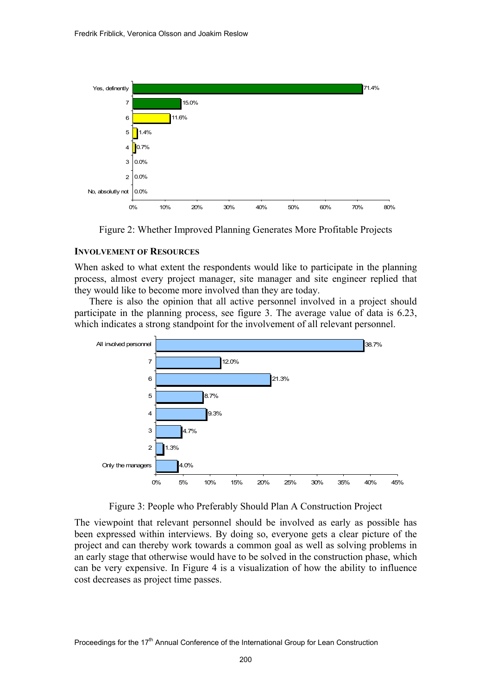

Figure 2: Whether Improved Planning Generates More Profitable Projects

## **INVOLVEMENT OF RESOURCES**

When asked to what extent the respondents would like to participate in the planning process, almost every project manager, site manager and site engineer replied that they would like to become more involved than they are today.

There is also the opinion that all active personnel involved in a project should participate in the planning process, see figure 3. The average value of data is 6.23, which indicates a strong standpoint for the involvement of all relevant personnel.



Figure 3: People who Preferably Should Plan A Construction Project

The viewpoint that relevant personnel should be involved as early as possible has been expressed within interviews. By doing so, everyone gets a clear picture of the project and can thereby work towards a common goal as well as solving problems in an early stage that otherwise would have to be solved in the construction phase, which can be very expensive. In Figure 4 is a visualization of how the ability to influence cost decreases as project time passes.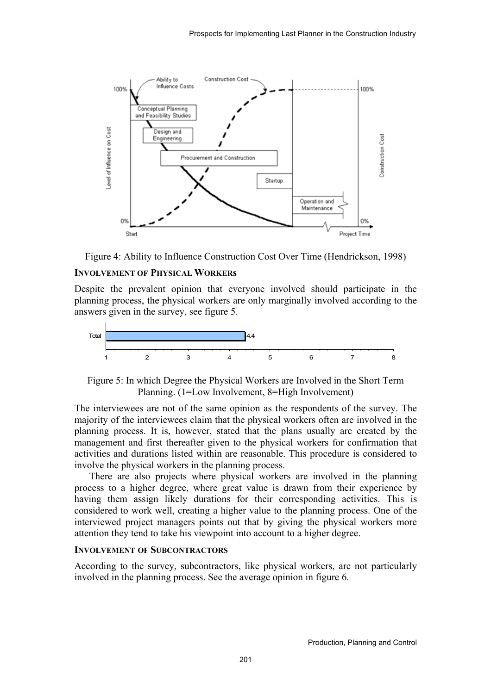



## **INVOLVEMENT OF PHYSICAL WORKERs**

Despite the prevalent opinion that everyone involved should participate in the planning process, the physical workers are only marginally involved according to the answers given in the survey, see figure 5.



Figure 5: In which Degree the Physical Workers are Involved in the Short Term Planning. (1=Low Involvement, 8=High Involvement)

The interviewees are not of the same opinion as the respondents of the survey. The majority of the interviewees claim that the physical workers often are involved in the planning process. It is, however, stated that the plans usually are created by the management and first thereafter given to the physical workers for confirmation that activities and durations listed within are reasonable. This procedure is considered to involve the physical workers in the planning process.

There are also projects where physical workers are involved in the planning process to a higher degree, where great value is drawn from their experience by having them assign likely durations for their corresponding activities. This is considered to work well, creating a higher value to the planning process. One of the interviewed project managers points out that by giving the physical workers more attention they tend to take his viewpoint into account to a higher degree.

## **INVOLVEMENT OF SUBCONTRACTORS**

According to the survey, subcontractors, like physical workers, are not particularly involved in the planning process. See the average opinion in figure 6.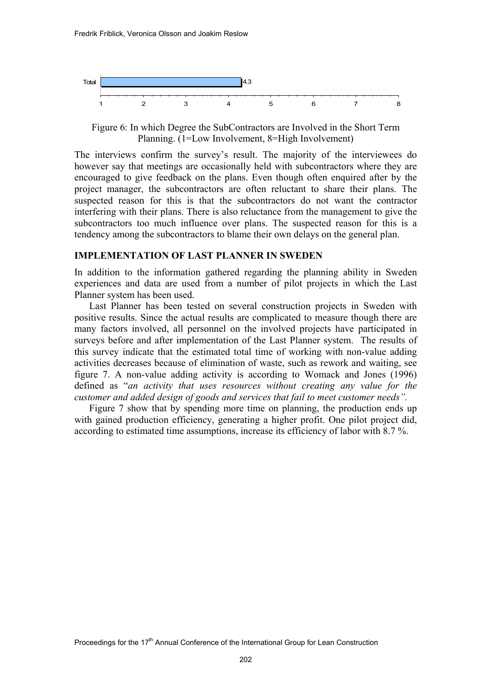

Figure 6: In which Degree the SubContractors are Involved in the Short Term Planning. (1=Low Involvement, 8=High Involvement)

The interviews confirm the survey's result. The majority of the interviewees do however say that meetings are occasionally held with subcontractors where they are encouraged to give feedback on the plans. Even though often enquired after by the project manager, the subcontractors are often reluctant to share their plans. The suspected reason for this is that the subcontractors do not want the contractor interfering with their plans. There is also reluctance from the management to give the subcontractors too much influence over plans. The suspected reason for this is a tendency among the subcontractors to blame their own delays on the general plan.

## **IMPLEMENTATION OF LAST PLANNER IN SWEDEN**

In addition to the information gathered regarding the planning ability in Sweden experiences and data are used from a number of pilot projects in which the Last Planner system has been used.

Last Planner has been tested on several construction projects in Sweden with positive results. Since the actual results are complicated to measure though there are many factors involved, all personnel on the involved projects have participated in surveys before and after implementation of the Last Planner system. The results of this survey indicate that the estimated total time of working with non-value adding activities decreases because of elimination of waste, such as rework and waiting, see figure 7. A non-value adding activity is according to Womack and Jones (1996) defined as "*an activity that uses resources without creating any value for the customer and added design of goods and services that fail to meet customer needs".* 

Figure 7 show that by spending more time on planning, the production ends up with gained production efficiency, generating a higher profit. One pilot project did, according to estimated time assumptions, increase its efficiency of labor with 8.7 %.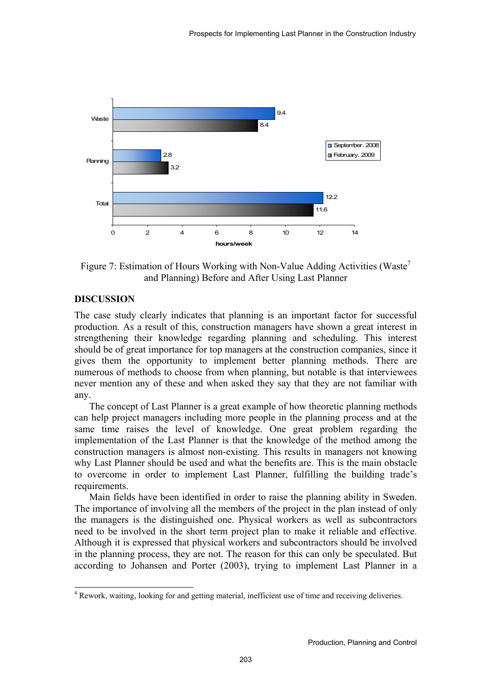

Figure 7: Estimation of Hours Working with Non-Value Adding Activities (Waste<sup>7</sup>) and Planning) Before and After Using Last Planner

# **DISCUSSION**

l

The case study clearly indicates that planning is an important factor for successful production. As a result of this, construction managers have shown a great interest in strengthening their knowledge regarding planning and scheduling. This interest should be of great importance for top managers at the construction companies, since it gives them the opportunity to implement better planning methods. There are numerous of methods to choose from when planning, but notable is that interviewees never mention any of these and when asked they say that they are not familiar with any.

The concept of Last Planner is a great example of how theoretic planning methods can help project managers including more people in the planning process and at the same time raises the level of knowledge. One great problem regarding the implementation of the Last Planner is that the knowledge of the method among the construction managers is almost non-existing. This results in managers not knowing why Last Planner should be used and what the benefits are. This is the main obstacle to overcome in order to implement Last Planner, fulfilling the building trade's requirements.

Main fields have been identified in order to raise the planning ability in Sweden. The importance of involving all the members of the project in the plan instead of only the managers is the distinguished one. Physical workers as well as subcontractors need to be involved in the short term project plan to make it reliable and effective. Although it is expressed that physical workers and subcontractors should be involved in the planning process, they are not. The reason for this can only be speculated. But according to Johansen and Porter (2003), trying to implement Last Planner in a

<sup>&</sup>lt;sup>4</sup> Rework, waiting, looking for and getting material, inefficient use of time and receiving deliveries.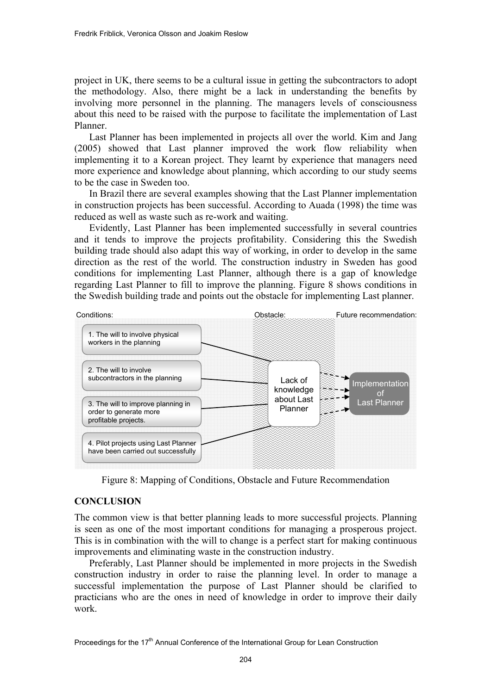project in UK, there seems to be a cultural issue in getting the subcontractors to adopt the methodology. Also, there might be a lack in understanding the benefits by involving more personnel in the planning. The managers levels of consciousness about this need to be raised with the purpose to facilitate the implementation of Last Planner.

Last Planner has been implemented in projects all over the world. Kim and Jang (2005) showed that Last planner improved the work flow reliability when implementing it to a Korean project. They learnt by experience that managers need more experience and knowledge about planning, which according to our study seems to be the case in Sweden too.

In Brazil there are several examples showing that the Last Planner implementation in construction projects has been successful. According to Auada (1998) the time was reduced as well as waste such as re-work and waiting.

Evidently, Last Planner has been implemented successfully in several countries and it tends to improve the projects profitability. Considering this the Swedish building trade should also adapt this way of working, in order to develop in the same direction as the rest of the world. The construction industry in Sweden has good conditions for implementing Last Planner, although there is a gap of knowledge regarding Last Planner to fill to improve the planning. Figure 8 shows conditions in the Swedish building trade and points out the obstacle for implementing Last planner.



Figure 8: Mapping of Conditions, Obstacle and Future Recommendation

# **CONCLUSION**

The common view is that better planning leads to more successful projects. Planning is seen as one of the most important conditions for managing a prosperous project. This is in combination with the will to change is a perfect start for making continuous improvements and eliminating waste in the construction industry.

Preferably, Last Planner should be implemented in more projects in the Swedish construction industry in order to raise the planning level. In order to manage a successful implementation the purpose of Last Planner should be clarified to practicians who are the ones in need of knowledge in order to improve their daily work.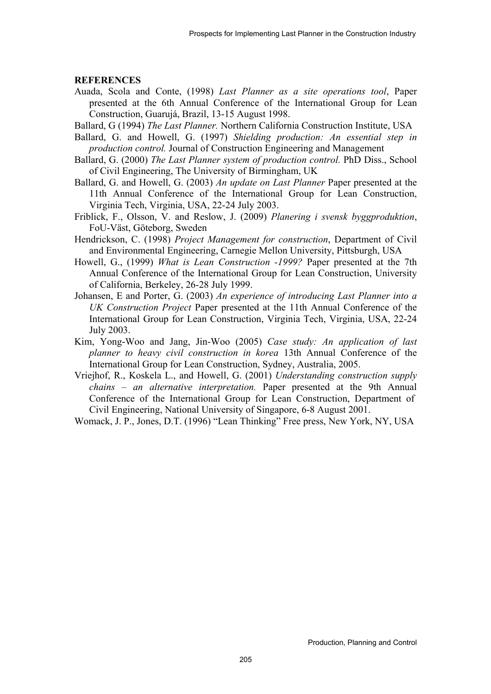#### **REFERENCES**

- Auada, Scola and Conte, (1998) *Last Planner as a site operations tool*, Paper presented at the 6th Annual Conference of the International Group for Lean Construction, Guarujá, Brazil, 13-15 August 1998.
- Ballard, G (1994) *The Last Planner.* Northern California Construction Institute, USA
- Ballard, G. and Howell, G. (1997) *Shielding production: An essential step in production control.* Journal of Construction Engineering and Management
- Ballard, G. (2000) *The Last Planner system of production control.* PhD Diss., School of Civil Engineering, The University of Birmingham, UK
- Ballard, G. and Howell, G. (2003) *An update on Last Planner* Paper presented at the 11th Annual Conference of the International Group for Lean Construction, Virginia Tech, Virginia, USA, 22-24 July 2003.
- Friblick, F., Olsson, V. and Reslow, J. (2009) *Planering i svensk byggproduktion*, FoU-Väst, Göteborg, Sweden
- Hendrickson, C. (1998) *Project Management for construction*, Department of Civil and Environmental Engineering, Carnegie Mellon University, Pittsburgh, USA
- Howell, G., (1999) *What is Lean Construction -1999?* Paper presented at the 7th Annual Conference of the International Group for Lean Construction, University of California, Berkeley, 26-28 July 1999.
- Johansen, E and Porter, G. (2003) *An experience of introducing Last Planner into a UK Construction Project* Paper presented at the 11th Annual Conference of the International Group for Lean Construction, Virginia Tech, Virginia, USA, 22-24 July 2003.
- Kim, Yong-Woo and Jang, Jin-Woo (2005) *Case study: An application of last planner to heavy civil construction in korea* 13th Annual Conference of the International Group for Lean Construction, Sydney, Australia, 2005.
- Vriejhof, R., Koskela L., and Howell, G. (2001) *Understanding construction supply chains – an alternative interpretation.* Paper presented at the 9th Annual Conference of the International Group for Lean Construction, Department of Civil Engineering, National University of Singapore, 6-8 August 2001.
- Womack, J. P., Jones, D.T. (1996) "Lean Thinking" Free press, New York, NY, USA